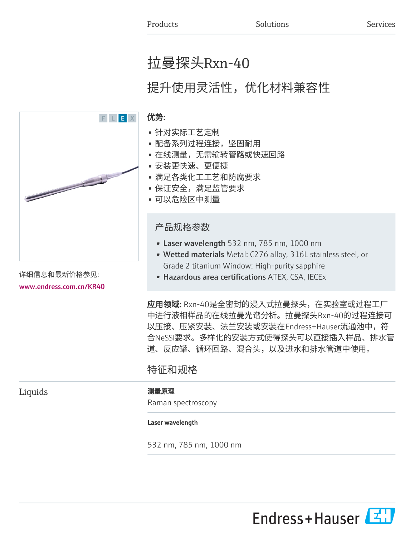# 拉曼探头Rxn-40

# 提升使用灵活性,优化材料兼容性



中进行液相样品的在线拉曼光谱分析。拉曼探头Rxn-40的过程连接可 以压接、压紧安装、法兰安装或安装在Endress+Hauser流通池中,符 合NeSSI要求。多样化的安装方式使得探头可以直接插入样品、排水管 道、反应罐、循环回路、混合头,以及进水和排水管道中使用。

# 特征和规格

Liquids **No. 2018** 测量原理

Raman spectroscopy

#### Laser wavelength

532 nm, 785 nm, 1000 nm

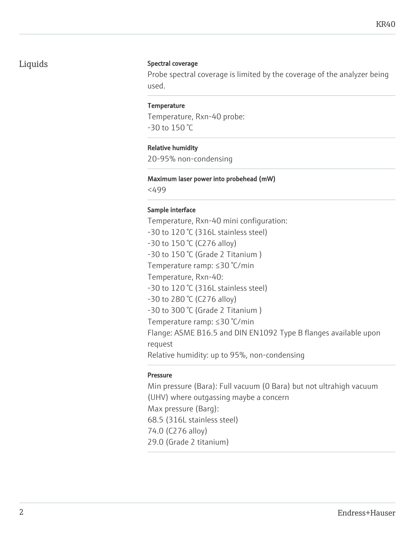### Liquids Spectral coverage

Probe spectral coverage is limited by the coverage of the analyzer being used.

#### **Temperature**

Temperature, Rxn-40 probe: -30 to 150 °C

#### Relative humidity

20-95% non-condensing

#### Maximum laser power into probehead (mW)

<499

### Sample interface

Temperature, Rxn-40 mini configuration: -30 to 120 °C (316L stainless steel) -30 to 150 °C (C276 alloy) -30 to 150 °C (Grade 2 Titanium ) Temperature ramp: ≤30 °C/min Temperature, Rxn-40: -30 to 120 °C (316L stainless steel) -30 to 280 °C (C276 alloy) -30 to 300 °C (Grade 2 Titanium ) Temperature ramp: ≤30 °C/min Flange: ASME B16.5 and DIN EN1092 Type B flanges available upon request Relative humidity: up to 95%, non-condensing

#### Pressure

Min pressure (Bara): Full vacuum (0 Bara) but not ultrahigh vacuum (UHV) where outgassing maybe a concern Max pressure (Barg): 68.5 (316L stainless steel) 74.0 (C276 alloy) 29.0 (Grade 2 titanium)